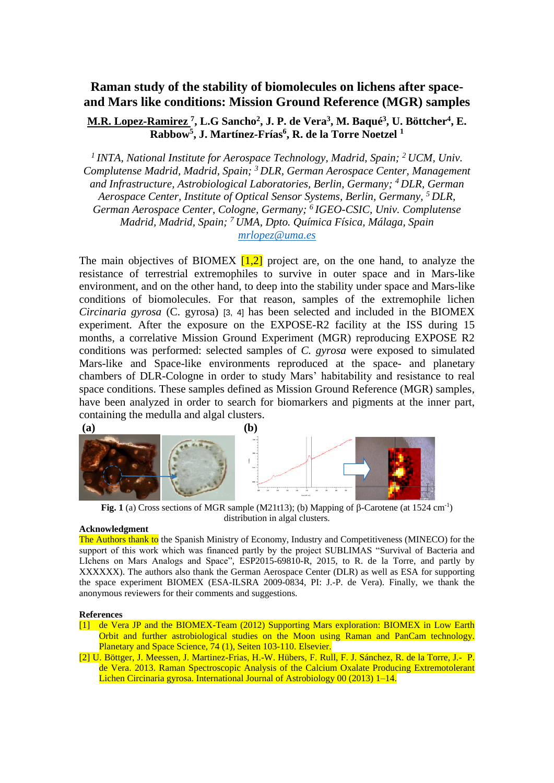## **Raman study of the stability of biomolecules on lichens after spaceand Mars like conditions: Mission Ground Reference (MGR) samples**

## **M.R. Lopez-Ramirez <sup>7</sup> , L.G Sancho<sup>2</sup> , J. P. de Vera<sup>3</sup> , M. Baqué<sup>3</sup> , U. Böttcher<sup>4</sup> , E. Rabbow<sup>5</sup> , J. Martínez-Frías<sup>6</sup> , R. de la Torre Noetzel <sup>1</sup>**

<sup>1</sup> INTA, National Institute for Aerospace Technology, Madrid, Spain; <sup>2</sup> UCM, Univ. *Complutense Madrid, Madrid, Spain; <sup>3</sup>DLR, German Aerospace Center, Management and Infrastructure, Astrobiological Laboratories, Berlin, Germany; <sup>4</sup>DLR, German Aerospace Center, Institute of Optical Sensor Systems, Berlin, Germany, <sup>5</sup> DLR, German Aerospace Center, Cologne, Germany; <sup>6</sup>IGEO-CSIC, Univ. Complutense Madrid, Madrid, Spain; <sup>7</sup>UMA, Dpto. Química Física, Málaga, Spain [mrlopez@uma.es](mailto:mrlopez@uma.es)*

The main objectives of BIOMEX  $[1,2]$  project are, on the one hand, to analyze the resistance of terrestrial extremophiles to survive in outer space and in Mars-like environment, and on the other hand, to deep into the stability under space and Mars-like conditions of biomolecules. For that reason, samples of the extremophile lichen *Circinaria gyrosa* (C. gyrosa) [3, 4] has been selected and included in the BIOMEX experiment. After the exposure on the EXPOSE-R2 facility at the ISS during 15 months, a correlative Mission Ground Experiment (MGR) reproducing EXPOSE R2 conditions was performed: selected samples of *C. gyrosa* were exposed to simulated Mars-like and Space-like environments reproduced at the space- and planetary chambers of DLR-Cologne in order to study Mars' habitability and resistance to real space conditions. These samples defined as Mission Ground Reference (MGR) samples, have been analyzed in order to search for biomarkers and pigments at the inner part, containing the medulla and algal clusters.





Fig. 1 (a) Cross sections of MGR sample (M21t13); (b) Mapping of  $\beta$ -Carotene (at 1524 cm<sup>-1</sup>) distribution in algal clusters.

## **Acknowledgment**

The Authors thank to the Spanish Ministry of Economy, Industry and Competitiveness (MINECO) for the support of this work which was financed partly by the project SUBLIMAS "Survival of Bacteria and LIchens on Mars Analogs and Space", ESP2015-69810-R, 2015, to R. de la Torre, and partly by XXXXXX). The authors also thank the German Aerospace Center (DLR) as well as ESA for supporting the space experiment BIOMEX (ESA-ILSRA 2009-0834, PI: J.-P. de Vera). Finally, we thank the anonymous reviewers for their comments and suggestions.

## **References**

- [1] de Vera JP and the BIOMEX-Team (2012) Supporting Mars exploration: BIOMEX in Low Earth Orbit and further astrobiological studies on the Moon using Raman and PanCam technology. Planetary and Space Science, 74 (1), Seiten 103-110. Elsevier.
- [2] U. Böttger, J. Meessen, J. Martinez-Frias, H.-W. Hübers, F. Rull, F. J. Sánchez, R. de la Torre, J.- P. de Vera. 2013. Raman Spectroscopic Analysis of the Calcium Oxalate Producing Extremotolerant Lichen Circinaria gyrosa. International Journal of Astrobiology 00 (2013) 1–14.